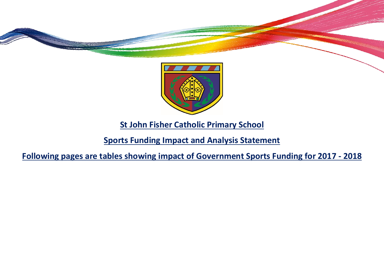



**St John Fisher Catholic Primary School**

**Sports Funding Impact and Analysis Statement**

**Following pages are tables showing impact of Government Sports Funding for 2017 - 2018**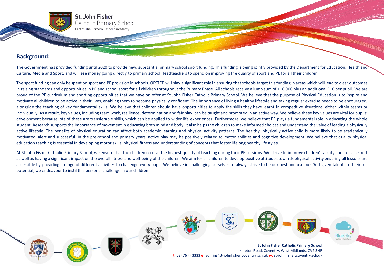## **Background:**

The Government has provided funding until 2020 to provide new, substantial primary school sport funding. This funding is being jointly provided by the Department for Education, Health and Culture, Media and Sport, and will see money going directly to primary school Headteachers to spend on improving the quality of sport and PE for all their children.

The sport funding can only be spent on sport and PE provision in schools. OFSTED will play a significant role in ensuring that schools target this funding in areas which will lead to clear outcomes in raising standards and opportunities in PE and school sport for all children throughout the Primary Phase. All schools receive a lump sum of £16,000 plus an additional £10 per pupil. We are proud of the PE curriculum and sporting opportunities that we have on offer at St John Fisher Catholic Primary School. We believe that the purpose of Physical Education is to inspire and motivate all children to be active in their lives, enabling them to become physically confident. The importance of living a healthy lifestyle and taking regular exercise needs to be encouraged, alongside the teaching of key fundamental skills. We believe that children should have opportunities to apply the skills they have learnt in competitive situations, either within teams or individually. As a result, key values, including team work, resilience, determination and fair play, can be taught and promoted in an active way. We believe these key values are vital for pupils' development because lots of these are transferable skills, which can be applied to wider life experiences. Furthermore, we believe that PE plays a fundamental role in educating the whole student. Research supports the importance of movement in educating both mind and body. It also helps the children to make informed choices and understand the value of leading a physically active lifestyle. The benefits of physical education can affect both academic learning and physical activity patterns. The healthy, physically active child is more likely to be academically motivated, alert and successful. In the pre-school and primary years, active play may be positively related to motor abilities and cognitive development. We believe that quality physical education teaching is essential in developing motor skills, physical fitness and understanding of concepts that foster lifelong healthy lifestyles.

At St John Fisher Catholic Primary School, we ensure that the children receive the highest quality of teaching during their PE sessions. We strive to improve children's ability and skills in sport as well as having a significant impact on the overall fitness and well-being of the children. We aim for all children to develop positive attitudes towards physical activity ensuring all lessons are accessible by providing a range of different activities to challenge every pupil. We believe in challenging ourselves to always strive to be our best and use our God-given talents to their full potential; we endeavour to instil this personal challenge in our children.

> **St John Fisher Catholic Primary School** Kineton Road, Coventry, West Midlands, CV2 3NR **t**: 02476 443333 **e**: admin@st-johnfisher.coventry.sch.uk **w**: st-johnfisher.coventry.sch.uk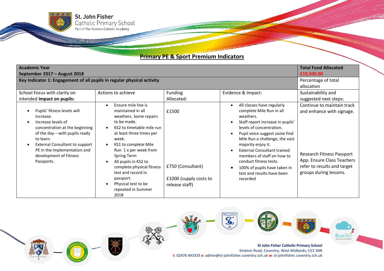¥

## **Primary PE & Sport Premium Indicators**

| <b>Academic Year</b><br>September 2017 - August 2018                                                                                                                                                                                                             |                                                                                                                                                                                                                                                                                                                                                                  |                                                                        |                                                                                                                                                                                                                                                                                                                                                                                                      | <b>Total Fund Allocated</b><br>£19,500.00                                                                                                                                          |
|------------------------------------------------------------------------------------------------------------------------------------------------------------------------------------------------------------------------------------------------------------------|------------------------------------------------------------------------------------------------------------------------------------------------------------------------------------------------------------------------------------------------------------------------------------------------------------------------------------------------------------------|------------------------------------------------------------------------|------------------------------------------------------------------------------------------------------------------------------------------------------------------------------------------------------------------------------------------------------------------------------------------------------------------------------------------------------------------------------------------------------|------------------------------------------------------------------------------------------------------------------------------------------------------------------------------------|
| Key Indicator 1: Engagement of all pupils in regular physical activity                                                                                                                                                                                           | Percentage of total<br>allocation                                                                                                                                                                                                                                                                                                                                |                                                                        |                                                                                                                                                                                                                                                                                                                                                                                                      |                                                                                                                                                                                    |
| School Focus with clarity on                                                                                                                                                                                                                                     | Actions to achieve                                                                                                                                                                                                                                                                                                                                               | Funding                                                                | Evidence & Impact:                                                                                                                                                                                                                                                                                                                                                                                   | Sustainability and                                                                                                                                                                 |
| intended impact on pupils:                                                                                                                                                                                                                                       |                                                                                                                                                                                                                                                                                                                                                                  | Allocated:                                                             |                                                                                                                                                                                                                                                                                                                                                                                                      | suggested next steps:                                                                                                                                                              |
| Pupils' fitness levels will<br>increase.<br>Increase levels of<br>concentration at the beginning<br>of the day - with pupils ready<br>to learn.<br><b>External Consultant to support</b><br>PE in the implementation and<br>development of Fitness<br>Passports. | Ensure mile line is<br>maintained in all<br>weathers. Some repairs<br>to be made.<br>KS2 to timetable mile run<br>at least three times per<br>week.<br>KS1 to complete Mile<br>Run 1 x per week from<br>Spring Term<br>All pupils in KS2 to<br>complete physical fitness<br>test and record in<br>passport.<br>Physical test to be<br>repeated in Summer<br>2018 | £1500<br>£750 (Consultant)<br>£1000 (supply costs to<br>release staff) | All classes have regularly<br>complete Mile Run in all<br>weathers.<br>Staff report increase in pupils'<br>levels of concentration.<br>Pupil voice suggest some find<br>Mile Run a challenge, the vast<br>majority enjoy it.<br><b>External Consultant trained</b><br>members of staff on how to<br>conduct fitness tests.<br>100% of pupils have taken in<br>test and results have been<br>recorded | Continue to maintain track<br>and enhance with signage.<br><b>Research Fitness Passport</b><br>App. Ensure Class Teachers<br>refer to results and target<br>groups during lessons. |

 $\overline{\mathcal{C}}$ 



**St John Fisher Catholic Primary School** Kineton Road, Coventry, West Midlands, CV2 3NR **t**: 02476 443333 **e**: admin@st-johnfisher.coventry.sch.uk **w**: st-johnfisher.coventry.sch.uk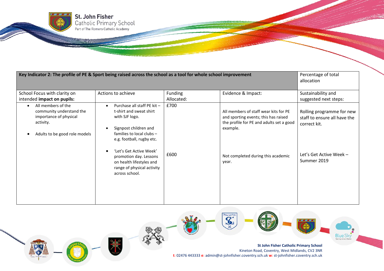| Key Indicator 2: The profile of PE & Sport being raised across the school as a tool for whole school improvement       |                                                                                                                                                                                        |                       |                                                                                                                                       | Percentage of total<br>allocation                                                                    |
|------------------------------------------------------------------------------------------------------------------------|----------------------------------------------------------------------------------------------------------------------------------------------------------------------------------------|-----------------------|---------------------------------------------------------------------------------------------------------------------------------------|------------------------------------------------------------------------------------------------------|
| School Focus with clarity on<br>intended impact on pupils:                                                             | Actions to achieve                                                                                                                                                                     | Funding<br>Allocated: | Evidence & Impact:                                                                                                                    | Sustainability and<br>suggested next steps:                                                          |
| All members of the<br>community understand the<br>importance of physical<br>activity.<br>Adults to be good role models | Purchase all staff PE kit -<br>t-shirt and sweat shirt<br>with SJF logo.<br>Signpost children and<br>families to local clubs -<br>e.g. football, rugby etc.<br>'Let's Get Active Week' | £700<br>£600          | All members of staff wear kits for PE<br>and sporting events; this has raised<br>the profile for PE and adults set a good<br>example. | Rolling programme for new<br>staff to ensure all have the<br>correct kit.<br>Let's Get Active Week - |
|                                                                                                                        | promotion day. Lessons<br>on health lifestyles and<br>range of physical activity<br>across school.                                                                                     |                       | Not completed during this academic<br>year.                                                                                           | Summer 2019                                                                                          |

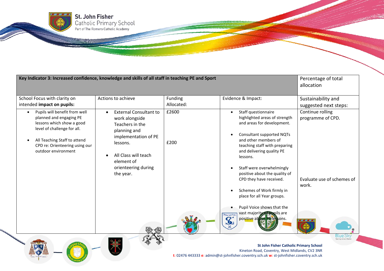| Key Indicator 3: Increased confidence, knowledge and skills of all staff in teaching PE and Sport                                                                                                             |                                                                                                                                                                                                  |                       |                                                                                                                                                                                                                                                                                                                                                                                                                                                                                                              | Percentage of total<br>allocation                                                                                    |
|---------------------------------------------------------------------------------------------------------------------------------------------------------------------------------------------------------------|--------------------------------------------------------------------------------------------------------------------------------------------------------------------------------------------------|-----------------------|--------------------------------------------------------------------------------------------------------------------------------------------------------------------------------------------------------------------------------------------------------------------------------------------------------------------------------------------------------------------------------------------------------------------------------------------------------------------------------------------------------------|----------------------------------------------------------------------------------------------------------------------|
| School Focus with clarity on<br>intended impact on pupils:                                                                                                                                                    | Actions to achieve                                                                                                                                                                               | Funding<br>Allocated: | Evidence & Impact:                                                                                                                                                                                                                                                                                                                                                                                                                                                                                           | Sustainability and<br>suggested next steps:                                                                          |
| Pupils will benefit from well<br>planned and engaging PE<br>lessons which show a good<br>level of challenge for all.<br>All Teaching Staff to attend<br>CPD re: Orienteering using our<br>outdoor environment | <b>External Consultant to</b><br>work alongside<br>Teachers in the<br>planning and<br>implementation of PE<br>lessons.<br>All Class will teach<br>element of<br>orienteering during<br>the year. | £2600<br>£200         | Staff questionnaire<br>highlighted areas of strength<br>and areas for development.<br><b>Consultant supported NQTs</b><br>and other members of<br>teaching staff with preparing<br>and delivering quality PE<br>lessons.<br>Staff were overwhelmingly<br>positive about the quality of<br>CPD they have received.<br>Schemes of Work firmly in<br>place for all Year groups.<br>Pupil Voice shows that the<br>vast majority of pupils are<br><b>Brown Fire</b><br>$\mathbf{C}$<br>positive about PE lessons. | Continue rolling<br>programme of CPD.<br>Evaluate use of schemes of<br>work.<br>Blue Sky<br>Teaching School Alliance |
|                                                                                                                                                                                                               |                                                                                                                                                                                                  |                       | <b>St John Fisher Catholic Primary School</b>                                                                                                                                                                                                                                                                                                                                                                                                                                                                |                                                                                                                      |

Kineton Road, Coventry, West Midlands, CV2 3NR **t**: 02476 443333 **e**: admin@st-johnfisher.coventry.sch.uk **w**: st-johnfisher.coventry.sch.uk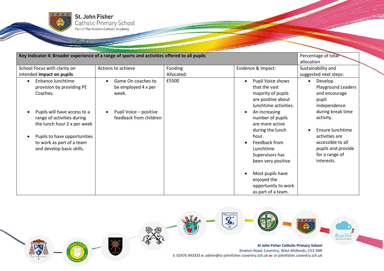

| Key Indicator 4: Broader experience of a range of sports and activities offered to all pupils                                                                                                                                                     | Percentage of total<br>allocation                                                                      |                       |                                                                                                                                                                                                                                                                                                                                                     |                                                                                                                                                                                                                                                |
|---------------------------------------------------------------------------------------------------------------------------------------------------------------------------------------------------------------------------------------------------|--------------------------------------------------------------------------------------------------------|-----------------------|-----------------------------------------------------------------------------------------------------------------------------------------------------------------------------------------------------------------------------------------------------------------------------------------------------------------------------------------------------|------------------------------------------------------------------------------------------------------------------------------------------------------------------------------------------------------------------------------------------------|
| School Focus with clarity on<br>intended impact on pupils                                                                                                                                                                                         | Actions to achieve                                                                                     | Funding<br>Allocated: | Evidence & Impact:                                                                                                                                                                                                                                                                                                                                  | Sustainability and<br>suggested next steps:                                                                                                                                                                                                    |
| Enhance lunchtime<br>provision by providing PE<br>Coaches.<br>Pupils will have access to a<br>range of activities during<br>the lunch hour 2 x per week<br>Pupils to have opportunities<br>to work as part of a team<br>and develop basic skills. | Game On coaches to<br>be employed 4 x per<br>week.<br>Pupil Voice - positive<br>feedback from children | £5500                 | Pupil Voice shows<br>that the vast<br>majority of pupils<br>are positive about<br>lunchtime activities.<br>An increasing<br>number of pupils<br>are more active<br>during the lunch<br>hour.<br>Feedback from<br>Lunchtime<br>Supervisors has<br>been very positive<br>Most pupils have<br>enjoyed the<br>opportunity to work<br>as part of a team. | Develop<br>$\bullet$<br><b>Playground Leaders</b><br>and encourage<br>pupil<br>independence<br>during break time<br>activity.<br>Ensure lunchtime<br>activities are<br>accessible to all<br>pupils and provide<br>for a range of<br>interests. |

**MANAHAMANAHAMANA** 

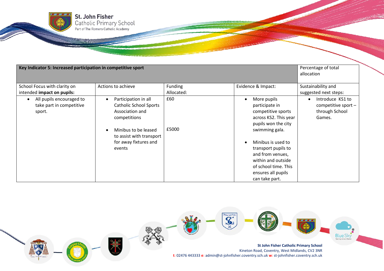| Key Indicator 5: Increased participation in competitive sport               |                                                                                          |            |                                                                                                                                                                       | Percentage of total<br>allocation                                   |
|-----------------------------------------------------------------------------|------------------------------------------------------------------------------------------|------------|-----------------------------------------------------------------------------------------------------------------------------------------------------------------------|---------------------------------------------------------------------|
| School Focus with clarity on                                                | Actions to achieve                                                                       | Funding    | Evidence & Impact:                                                                                                                                                    | Sustainability and                                                  |
| intended impact on pupils:                                                  |                                                                                          | Allocated: |                                                                                                                                                                       | suggested next steps:                                               |
| All pupils encouraged to<br>$\bullet$<br>take part in competitive<br>sport. | Participation in all<br><b>Catholic School Sports</b><br>Association and<br>competitions | £60        | More pupils<br>participate in<br>competitive sports<br>across KS2. This year<br>pupils won the city                                                                   | Introduce KS1 to<br>competitive sport -<br>through School<br>Games. |
|                                                                             | Minibus to be leased<br>to assist with transport<br>for away fixtures and<br>events      | £5000      | swimming gala.<br>Minibus is used to<br>transport pupils to<br>and from venues,<br>within and outside<br>of school time. This<br>ensures all pupils<br>can take part. |                                                                     |

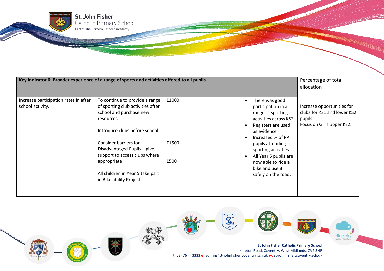| Key Indicator 6: Broader experience of a range of sports and activities offered to all pupils. |                                                                                                                                                                                                                                                                                                                        |                        |                                                                                                                                                                                                                                                                                   | Percentage of total<br>allocation                                                                 |
|------------------------------------------------------------------------------------------------|------------------------------------------------------------------------------------------------------------------------------------------------------------------------------------------------------------------------------------------------------------------------------------------------------------------------|------------------------|-----------------------------------------------------------------------------------------------------------------------------------------------------------------------------------------------------------------------------------------------------------------------------------|---------------------------------------------------------------------------------------------------|
| Increase participation rates in after<br>school activity.                                      | To continue to provide a range<br>of sporting club activities after<br>school and purchase new<br>resources.<br>Introduce clubs before school.<br>Consider barriers for<br>Disadvantaged Pupils - give<br>support to access clubs where<br>appropriate<br>All children in Year 5 take part<br>in Bike ability Project. | £1000<br>£1500<br>£500 | There was good<br>participation in a<br>range of sporting<br>activities across KS2.<br>Registers are used<br>as evidence<br>Increased % of PP<br>pupils attending<br>sporting activities<br>All Year 5 pupils are<br>now able to ride a<br>bike and use it<br>safely on the road. | Increase opportunities for<br>clubs for KS1 and lower KS2<br>pupils.<br>Focus on Girls upper KS2. |